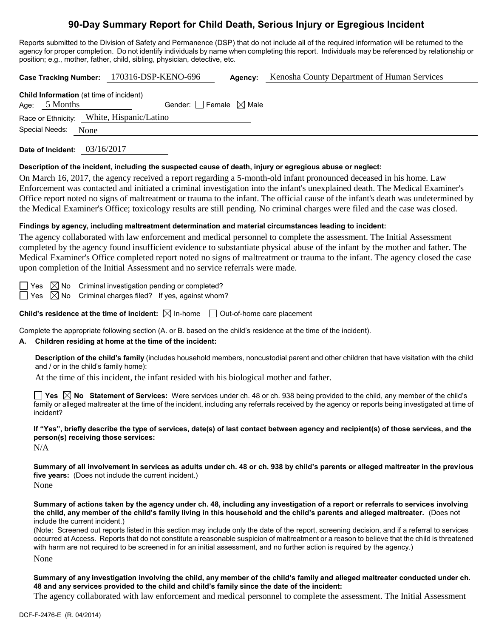# **90-Day Summary Report for Child Death, Serious Injury or Egregious Incident**

Reports submitted to the Division of Safety and Permanence (DSP) that do not include all of the required information will be returned to the agency for proper completion. Do not identify individuals by name when completing this report. Individuals may be referenced by relationship or position; e.g., mother, father, child, sibling, physician, detective, etc.

**Case Tracking Number:** 170316-DSP-KENO-696 **Agency:** Kenosha County Department of Human Services **Child Information** (at time of incident) Age:  $5$  Months Gender: Female  $\boxtimes$  Male Race or Ethnicity: White, Hispanic/Latino Special Needs: None

**Date of Incident:** 03/16/2017

#### **Description of the incident, including the suspected cause of death, injury or egregious abuse or neglect:**

On March 16, 2017, the agency received a report regarding a 5-month-old infant pronounced deceased in his home. Law Enforcement was contacted and initiated a criminal investigation into the infant's unexplained death. The Medical Examiner's Office report noted no signs of maltreatment or trauma to the infant. The official cause of the infant's death was undetermined by the Medical Examiner's Office; toxicology results are still pending. No criminal charges were filed and the case was closed.

# **Findings by agency, including maltreatment determination and material circumstances leading to incident:**

The agency collaborated with law enforcement and medical personnel to complete the assessment. The Initial Assessment completed by the agency found insufficient evidence to substantiate physical abuse of the infant by the mother and father. The Medical Examiner's Office completed report noted no signs of maltreatment or trauma to the infant. The agency closed the case upon completion of the Initial Assessment and no service referrals were made.

 $\Box$  Yes  $\boxtimes$  No Criminal investigation pending or completed?  $\Box$  Yes  $\boxtimes$  No Criminal charges filed? If yes, against whom?

**Child's residence at the time of incident:**  $\boxtimes$  In-home  $\Box$  Out-of-home care placement

Complete the appropriate following section (A. or B. based on the child's residence at the time of the incident).

## **A. Children residing at home at the time of the incident:**

**Description of the child's family** (includes household members, noncustodial parent and other children that have visitation with the child and / or in the child's family home):

At the time of this incident, the infant resided with his biological mother and father.

**Yes No Statement of Services:** Were services under ch. 48 or ch. 938 being provided to the child, any member of the child's family or alleged maltreater at the time of the incident, including any referrals received by the agency or reports being investigated at time of incident?

**If "Yes", briefly describe the type of services, date(s) of last contact between agency and recipient(s) of those services, and the person(s) receiving those services:**

N/A

**Summary of all involvement in services as adults under ch. 48 or ch. 938 by child's parents or alleged maltreater in the previous five years:** (Does not include the current incident.)

None

**Summary of actions taken by the agency under ch. 48, including any investigation of a report or referrals to services involving the child, any member of the child's family living in this household and the child's parents and alleged maltreater.** (Does not include the current incident.)

(Note: Screened out reports listed in this section may include only the date of the report, screening decision, and if a referral to services occurred at Access. Reports that do not constitute a reasonable suspicion of maltreatment or a reason to believe that the child is threatened with harm are not required to be screened in for an initial assessment, and no further action is required by the agency.)

None

**Summary of any investigation involving the child, any member of the child's family and alleged maltreater conducted under ch. 48 and any services provided to the child and child's family since the date of the incident:**

The agency collaborated with law enforcement and medical personnel to complete the assessment. The Initial Assessment